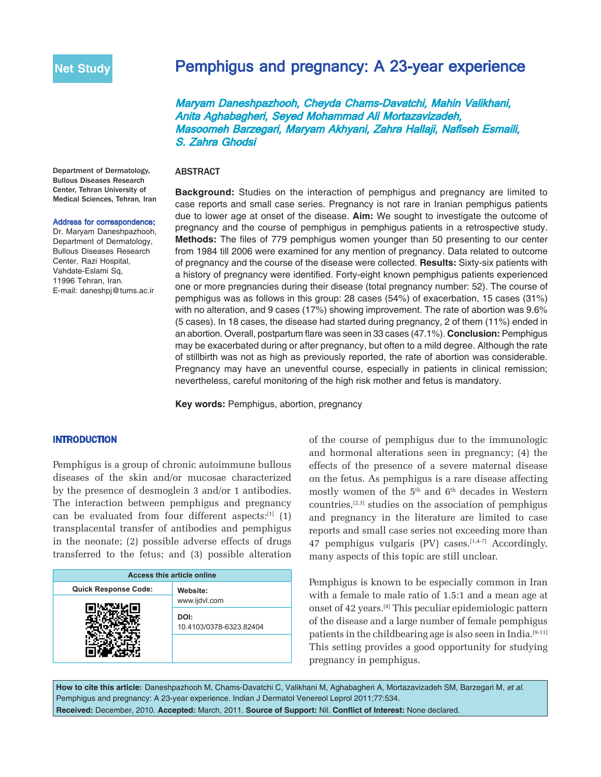# Pemphigus and pregnancy: A 23-year experience

Maryam Daneshpazhooh, Cheyda Chams-Davatchi, Mahin Valikhani, Anita Aghabagheri, Seyed Mohammad Ali Mortazavizadeh, Masoomeh Barzegari, Maryam Akhyani, Zahra Hallaji, Nafiseh Esmaili, S. Zahra Ghodsi

## ABSTRACT

Department of Dermatology, Bullous Diseases Research Center, Tehran University of Medical Sciences, Tehran, Iran

#### Address for correspondence:

Dr. Maryam Daneshpazhooh, Department of Dermatology, Bullous Diseases Research Center, Razi Hospital, Vahdate-Eslami Sq, 11996 Tehran, Iran. E-mail: daneshpj@tums.ac.ir

**Background:** Studies on the interaction of pemphigus and pregnancy are limited to case reports and small case series. Pregnancy is not rare in Iranian pemphigus patients due to lower age at onset of the disease. **Aim:** We sought to investigate the outcome of pregnancy and the course of pemphigus in pemphigus patients in a retrospective study. **Methods:** The files of 779 pemphigus women younger than 50 presenting to our center from 1984 till 2006 were examined for any mention of pregnancy. Data related to outcome of pregnancy and the course of the disease were collected. **Results:** Sixty-six patients with a history of pregnancy were identified. Forty-eight known pemphigus patients experienced one or more pregnancies during their disease (total pregnancy number: 52). The course of pemphigus was as follows in this group: 28 cases (54%) of exacerbation, 15 cases (31%) with no alteration, and 9 cases (17%) showing improvement. The rate of abortion was 9.6% (5 cases). In 18 cases, the disease had started during pregnancy, 2 of them (11%) ended in an abortion. Overall, postpartum flare was seen in 33 cases (47.1%). **Conclusion:** Pemphigus may be exacerbated during or after pregnancy, but often to a mild degree. Although the rate of stillbirth was not as high as previously reported, the rate of abortion was considerable. Pregnancy may have an uneventful course, especially in patients in clinical remission; nevertheless, careful monitoring of the high risk mother and fetus is mandatory.

**Key words:** Pemphigus, abortion, pregnancy

### INTRODUCTION

Pemphigus is a group of chronic autoimmune bullous diseases of the skin and/or mucosae characterized by the presence of desmoglein 3 and/or 1 antibodies. The interaction between pemphigus and pregnancy can be evaluated from four different aspects: $[1]$  (1) transplacental transfer of antibodies and pemphigus in the neonate; (2) possible adverse effects of drugs transferred to the fetus; and (3) possible alteration

| <b>Access this article online</b> |                                 |  |
|-----------------------------------|---------------------------------|--|
| <b>Quick Response Code:</b>       | Website:<br>www.ijdvl.com       |  |
|                                   |                                 |  |
|                                   | DOI:<br>10.4103/0378-6323.82404 |  |
|                                   |                                 |  |

of the course of pemphigus due to the immunologic and hormonal alterations seen in pregnancy; (4) the effects of the presence of a severe maternal disease on the fetus. As pemphigus is a rare disease affecting mostly women of the  $5<sup>th</sup>$  and  $6<sup>th</sup>$  decades in Western countries, $[2,3]$  studies on the association of pemphigus and pregnancy in the literature are limited to case reports and small case series not exceeding more than 47 pemphigus vulgaris  $(PV)$  cases.<sup>[1,4-7]</sup> Accordingly, many aspects of this topic are still unclear.

Pemphigus is known to be especially common in Iran with a female to male ratio of 1.5:1 and a mean age at onset of 42 years.[8] This peculiar epidemiologic pattern of the disease and a large number of female pemphigus patients in the childbearing age is also seen in India.[9-11] This setting provides a good opportunity for studying pregnancy in pemphigus.

**How to cite this article:** Daneshpazhooh M, Chams-Davatchi C, Valikhani M, Aghabagheri A, Mortazavizadeh SM, Barzegari M, *et al*. Pemphigus and pregnancy: A 23-year experience. Indian J Dermatol Venereol Leprol 2011;77:534. **Received:** December, 2010. **Accepted:** March, 2011. **Source of Support:** Nil. **Conflict of Interest:** None declared.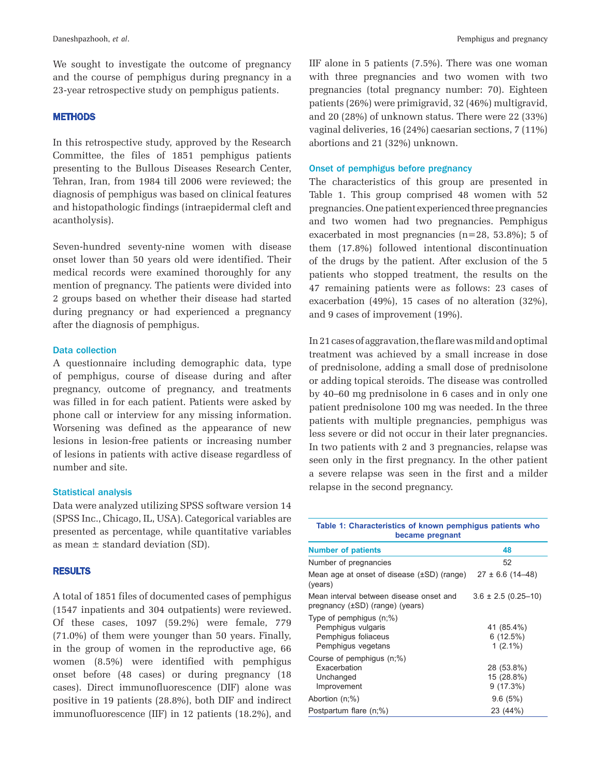We sought to investigate the outcome of pregnancy and the course of pemphigus during pregnancy in a 23-year retrospective study on pemphigus patients.

#### METHODS

In this retrospective study, approved by the Research Committee, the files of 1851 pemphigus patients presenting to the Bullous Diseases Research Center, Tehran, Iran, from 1984 till 2006 were reviewed; the diagnosis of pemphigus was based on clinical features and histopathologic findings (intraepidermal cleft and acantholysis).

Seven-hundred seventy-nine women with disease onset lower than 50 years old were identified. Their medical records were examined thoroughly for any mention of pregnancy. The patients were divided into 2 groups based on whether their disease had started during pregnancy or had experienced a pregnancy after the diagnosis of pemphigus.

## Data collection

A questionnaire including demographic data, type of pemphigus, course of disease during and after pregnancy, outcome of pregnancy, and treatments was filled in for each patient. Patients were asked by phone call or interview for any missing information. Worsening was defined as the appearance of new lesions in lesion-free patients or increasing number of lesions in patients with active disease regardless of number and site.

## Statistical analysis

Data were analyzed utilizing SPSS software version 14 (SPSS Inc., Chicago, IL, USA). Categorical variables are presented as percentage, while quantitative variables as mean  $\pm$  standard deviation (SD).

#### RESULTS

A total of 1851 files of documented cases of pemphigus (1547 inpatients and 304 outpatients) were reviewed. Of these cases, 1097 (59.2%) were female, 779 (71.0%) of them were younger than 50 years. Finally, in the group of women in the reproductive age, 66 women (8.5%) were identified with pemphigus onset before (48 cases) or during pregnancy (18 cases). Direct immunofluorescence (DIF) alone was positive in 19 patients (28.8%), both DIF and indirect immunofluorescence (IIF) in 12 patients (18.2%), and IIF alone in 5 patients (7.5%). There was one woman with three pregnancies and two women with two pregnancies (total pregnancy number: 70). Eighteen patients (26%) were primigravid, 32 (46%) multigravid, and 20 (28%) of unknown status. There were 22 (33%) vaginal deliveries, 16 (24%) caesarian sections, 7 (11%) abortions and 21 (32%) unknown.

## Onset of pemphigus before pregnancy

The characteristics of this group are presented in Table 1. This group comprised 48 women with 52 pregnancies. One patient experienced three pregnancies and two women had two pregnancies. Pemphigus exacerbated in most pregnancies (n=28, 53.8%); 5 of them (17.8%) followed intentional discontinuation of the drugs by the patient. After exclusion of the 5 patients who stopped treatment, the results on the 47 remaining patients were as follows: 23 cases of exacerbation (49%), 15 cases of no alteration (32%), and 9 cases of improvement (19%).

In 21 cases of aggravation, the flare was mild and optimal treatment was achieved by a small increase in dose of prednisolone, adding a small dose of prednisolone or adding topical steroids. The disease was controlled by 40–60 mg prednisolone in 6 cases and in only one patient prednisolone 100 mg was needed. In the three patients with multiple pregnancies, pemphigus was less severe or did not occur in their later pregnancies. In two patients with 2 and 3 pregnancies, relapse was seen only in the first pregnancy. In the other patient a severe relapse was seen in the first and a milder relapse in the second pregnancy.

| Table 1: Characteristics of known pemphigus patients who<br>became pregnant                   |                                         |  |  |  |  |
|-----------------------------------------------------------------------------------------------|-----------------------------------------|--|--|--|--|
| <b>Number of patients</b>                                                                     | 48                                      |  |  |  |  |
| Number of pregnancies                                                                         | 52                                      |  |  |  |  |
| Mean age at onset of disease $(\pm SD)$ (range)<br>(years)                                    | $27 \pm 6.6$ (14-48)                    |  |  |  |  |
| Mean interval between disease onset and<br>pregnancy (±SD) (range) (years)                    | $3.6 \pm 2.5$ (0.25-10)                 |  |  |  |  |
| Type of pemphigus $(n;\%)$<br>Pemphigus vulgaris<br>Pemphigus foliaceus<br>Pemphiqus vegetans | 41 (85.4%)<br>6(12.5%)<br>$1(2.1\%)$    |  |  |  |  |
| Course of pemphiqus (n;%)<br>Exacerbation<br>Unchanged<br>Improvement                         | 28 (53.8%)<br>15 (28.8%)<br>$9(17.3\%)$ |  |  |  |  |
| Abortion $(n;\%)$                                                                             | 9.6(5%)                                 |  |  |  |  |
| Postpartum flare (n;%)                                                                        | 23 (44%)                                |  |  |  |  |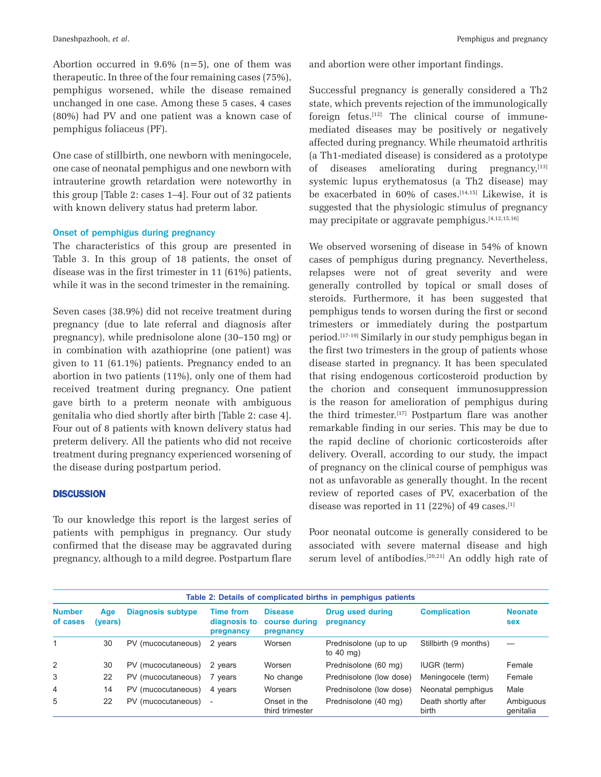Abortion occurred in  $9.6\%$  (n=5), one of them was therapeutic. In three of the four remaining cases (75%), pemphigus worsened, while the disease remained unchanged in one case. Among these 5 cases, 4 cases (80%) had PV and one patient was a known case of pemphigus foliaceus (PF).

One case of stillbirth, one newborn with meningocele, one case of neonatal pemphigus and one newborn with intrauterine growth retardation were noteworthy in this group [Table 2: cases 1–4]. Four out of 32 patients with known delivery status had preterm labor.

## Onset of pemphigus during pregnancy

The characteristics of this group are presented in Table 3. In this group of 18 patients, the onset of disease was in the first trimester in 11 (61%) patients, while it was in the second trimester in the remaining.

Seven cases (38.9%) did not receive treatment during pregnancy (due to late referral and diagnosis after pregnancy), while prednisolone alone (30–150 mg) or in combination with azathioprine (one patient) was given to 11 (61.1%) patients. Pregnancy ended to an abortion in two patients (11%), only one of them had received treatment during pregnancy. One patient gave birth to a preterm neonate with ambiguous genitalia who died shortly after birth [Table 2: case 4]. Four out of 8 patients with known delivery status had preterm delivery. All the patients who did not receive treatment during pregnancy experienced worsening of the disease during postpartum period.

## **DISCUSSION**

To our knowledge this report is the largest series of patients with pemphigus in pregnancy. Our study confirmed that the disease may be aggravated during pregnancy, although to a mild degree. Postpartum flare and abortion were other important findings.

Successful pregnancy is generally considered a Th2 state, which prevents rejection of the immunologically foreign fetus.[12] The clinical course of immunemediated diseases may be positively or negatively affected during pregnancy. While rheumatoid arthritis (a Th1-mediated disease) is considered as a prototype of diseases ameliorating during pregnancy, $[13]$ systemic lupus erythematosus (a Th2 disease) may be exacerbated in 60% of cases.<sup>[14,15]</sup> Likewise, it is suggested that the physiologic stimulus of pregnancy may precipitate or aggravate pemphigus.[4,12,15,16]

We observed worsening of disease in 54% of known cases of pemphigus during pregnancy. Nevertheless, relapses were not of great severity and were generally controlled by topical or small doses of steroids. Furthermore, it has been suggested that pemphigus tends to worsen during the first or second trimesters or immediately during the postpartum period.[17-19] Similarly in our study pemphigus began in the first two trimesters in the group of patients whose disease started in pregnancy. It has been speculated that rising endogenous corticosteroid production by the chorion and consequent immunosuppression is the reason for amelioration of pemphigus during the third trimester.<sup>[17]</sup> Postpartum flare was another remarkable finding in our series. This may be due to the rapid decline of chorionic corticosteroids after delivery. Overall, according to our study, the impact of pregnancy on the clinical course of pemphigus was not as unfavorable as generally thought. In the recent review of reported cases of PV, exacerbation of the disease was reported in 11 (22%) of 49 cases. $[1]$ 

Poor neonatal outcome is generally considered to be associated with severe maternal disease and high serum level of antibodies.<sup>[20,21]</sup> An oddly high rate of

| Table 2: Details of complicated births in pemphigus patients |                |                          |                                               |                                              |                                                |                              |                              |
|--------------------------------------------------------------|----------------|--------------------------|-----------------------------------------------|----------------------------------------------|------------------------------------------------|------------------------------|------------------------------|
| <b>Number</b><br>of cases                                    | Age<br>(vears) | <b>Diagnosis subtype</b> | <b>Time from</b><br>diagnosis to<br>pregnancy | <b>Disease</b><br>course during<br>pregnancy | Drug used during<br>pregnancy                  | <b>Complication</b>          | <b>Neonate</b><br><b>sex</b> |
|                                                              | 30             | PV (mucocutaneous)       | 2 years                                       | Worsen                                       | Prednisolone (up to up<br>to $40 \text{ ma}$ ) | Stillbirth (9 months)        |                              |
| 2                                                            | 30             | PV (mucocutaneous)       | 2 years                                       | Worsen                                       | Prednisolone (60 mg)                           | <b>IUGR</b> (term)           | Female                       |
| 3                                                            | 22             | PV (mucocutaneous)       | 7 years                                       | No change                                    | Prednisolone (low dose)                        | Meningocele (term)           | Female                       |
| 4                                                            | 14             | PV (mucocutaneous)       | 4 years                                       | Worsen                                       | Prednisolone (low dose)                        | Neonatal pemphiqus           | Male                         |
| 5                                                            | 22             | PV (mucocutaneous)       |                                               | Onset in the<br>third trimester              | Prednisolone (40 mg)                           | Death shortly after<br>birth | Ambiguous<br>genitalia       |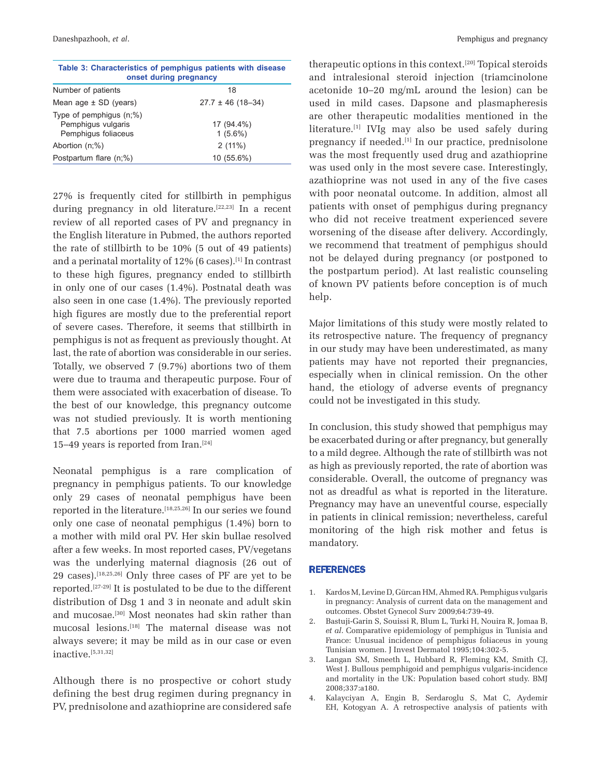| Table 3: Characteristics of pemphigus patients with disease<br>onset during pregnancy |                          |  |  |  |
|---------------------------------------------------------------------------------------|--------------------------|--|--|--|
| Number of patients                                                                    | 18                       |  |  |  |
| Mean age $\pm$ SD (years)                                                             | $27.7 \pm 46$ (18-34)    |  |  |  |
| Type of pemphigus $(n;\%)$<br>Pemphigus vulgaris<br>Pemphiqus foliaceus               | 17 (94.4%)<br>$1(5.6\%)$ |  |  |  |
| Abortion $(n;\%)$                                                                     | 2(11%)                   |  |  |  |
| Postpartum flare (n;%)                                                                | 10 (55.6%)               |  |  |  |

27% is frequently cited for stillbirth in pemphigus during pregnancy in old literature.<sup>[22,23]</sup> In a recent review of all reported cases of PV and pregnancy in the English literature in Pubmed, the authors reported the rate of stillbirth to be 10% (5 out of 49 patients) and a perinatal mortality of 12% (6 cases).<sup>[1]</sup> In contrast to these high figures, pregnancy ended to stillbirth in only one of our cases (1.4%). Postnatal death was also seen in one case (1.4%). The previously reported high figures are mostly due to the preferential report of severe cases. Therefore, it seems that stillbirth in pemphigus is not as frequent as previously thought. At last, the rate of abortion was considerable in our series. Totally, we observed 7 (9.7%) abortions two of them were due to trauma and therapeutic purpose. Four of them were associated with exacerbation of disease. To the best of our knowledge, this pregnancy outcome was not studied previously. It is worth mentioning that 7.5 abortions per 1000 married women aged 15–49 years is reported from Iran. $[24]$ 

Neonatal pemphigus is a rare complication of pregnancy in pemphigus patients. To our knowledge only 29 cases of neonatal pemphigus have been reported in the literature.[18,25,26] In our series we found only one case of neonatal pemphigus (1.4%) born to a mother with mild oral PV. Her skin bullae resolved after a few weeks. In most reported cases, PV/vegetans was the underlying maternal diagnosis (26 out of 29 cases).<sup>[18,25,26]</sup> Only three cases of PF are yet to be reported.[27-29] It is postulated to be due to the different distribution of Dsg 1 and 3 in neonate and adult skin and mucosae.[30] Most neonates had skin rather than mucosal lesions.[18] The maternal disease was not always severe; it may be mild as in our case or even inactive.[5,31,32]

Although there is no prospective or cohort study defining the best drug regimen during pregnancy in PV, prednisolone and azathioprine are considered safe therapeutic options in this context.[20] Topical steroids and intralesional steroid injection (triamcinolone acetonide 10–20 mg/mL around the lesion) can be used in mild cases. Dapsone and plasmapheresis are other therapeutic modalities mentioned in the literature.<sup>[1]</sup> IVIg may also be used safely during pregnancy if needed.[1] In our practice, prednisolone was the most frequently used drug and azathioprine was used only in the most severe case. Interestingly, azathioprine was not used in any of the five cases with poor neonatal outcome. In addition, almost all patients with onset of pemphigus during pregnancy who did not receive treatment experienced severe worsening of the disease after delivery. Accordingly, we recommend that treatment of pemphigus should not be delayed during pregnancy (or postponed to the postpartum period). At last realistic counseling of known PV patients before conception is of much help.

Major limitations of this study were mostly related to its retrospective nature. The frequency of pregnancy in our study may have been underestimated, as many patients may have not reported their pregnancies, especially when in clinical remission. On the other hand, the etiology of adverse events of pregnancy could not be investigated in this study.

In conclusion, this study showed that pemphigus may be exacerbated during or after pregnancy, but generally to a mild degree. Although the rate of stillbirth was not as high as previously reported, the rate of abortion was considerable. Overall, the outcome of pregnancy was not as dreadful as what is reported in the literature. Pregnancy may have an uneventful course, especially in patients in clinical remission; nevertheless, careful monitoring of the high risk mother and fetus is mandatory.

#### REFERENCES

- 1. Kardos M, Levine D, Gürcan HM, Ahmed RA. Pemphigus vulgaris in pregnancy: Analysis of current data on the management and outcomes. Obstet Gynecol Surv 2009;64:739-49.
- 2. Bastuji-Garin S, Souissi R, Blum L, Turki H, Nouira R, Jomaa B, *et al*. Comparative epidemiology of pemphigus in Tunisia and France: Unusual incidence of pemphigus foliaceus in young Tunisian women. J Invest Dermatol 1995;104:302-5.
- 3. Langan SM, Smeeth L, Hubbard R, Fleming KM, Smith CJ, West J. Bullous pemphigoid and pemphigus vulgaris-incidence and mortality in the UK: Population based cohort study. BMJ 2008;337:a180.
- 4. Kalayciyan A, Engin B, Serdaroglu S, Mat C, Aydemir EH, Kotogyan A. A retrospective analysis of patients with